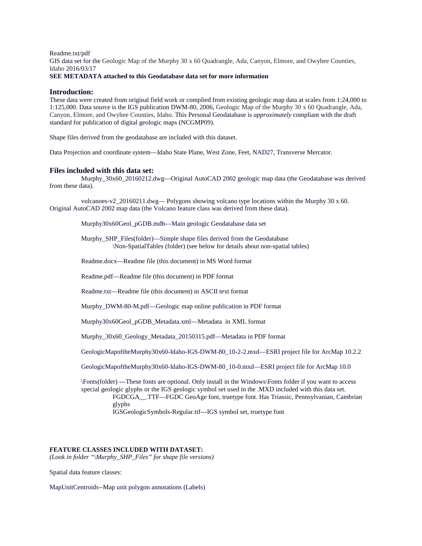Readme.txt/pdf

GIS data set for the Geologic Map of the Murphy 30 x 60 Quadrangle, Ada, Canyon, Elmore, and Owyhee Counties, Idaho 2016/03/17

# **SEE METADATA attached to this Geodatabase data set for more information**

# **Introduction:**

These data were created from original field work or complied from existing geologic map data at scales from 1:24,000 to 1:125,000. Data source is the IGS publication DWM-80, 2006, Geologic Map of the Murphy 30 x 60 Quadrangle, Ada, Canyon, Elmore, and Owyhee Counties, Idaho. This Personal Geodatabase is *approximately* compliant with the draft standard for publication of digital geologic maps (NCGMP09).

Shape files derived from the geodatabase are included with this dataset.

Data Projection and coordinate system—Idaho State Plane, West Zone, Feet, NAD27, Transverse Mercator.

#### **Files included with this data set:**

Murphy\_30x60\_20160212.dwg—Original AutoCAD 2002 geologic map data (the Geodatabase was derived from these data).

volcanoes-v2\_20160211.dwg— Polygons showing volcano type locations within the Murphy 30 x 60. Original AutoCAD 2002 map data (the Volcano feature class was derived from these data).

Murphy30x60Geol\_pGDB.mdb—Main geologic Geodatabase data set

Murphy\_SHP\_Files(folder)—Simple shape files derived from the Geodatabase \Non-SpatialTables (folder) (see below for details about non-spatial tables)

Readme.docx—Readme file (this document) in MS Word format

Readme.pdf—Readme file (this document) in PDF format

Readme.txt—Readme file (this document) in ASCII text format

Murphy\_DWM-80-M.pdf—Geologic map online publication in PDF format

Murphy30x60Geol\_pGDB\_Metadata.xml—Metadata in XML format

Murphy\_30x60\_Geology\_Metadata\_20150315.pdf—Metadata in PDF format

GeologicMapoftheMurphy30x60-Idaho-IGS-DWM-80\_10-2-2.mxd—ESRI project file for ArcMap 10.2.2

GeologicMapoftheMurphy30x60-Idaho-IGS-DWM-80\_10-0.mxd—ESRI project file for ArcMap 10.0

\Fonts(folder) ---These fonts are optional. Only install in the Windows\Fonts folder if you want to access special geologic glyphs or the IGS geologic symbol set used in the .MXD included with this data set. FGDCGA\_\_.TTF—FGDC GeoAge font, truetype font. Has Triassic, Pennsylvanian, Cambrian glyphs

IGSGeologicSymbols-Regular.ttf---IGS symbol set, truetype font

## **FEATURE CLASSES INCLUDED WITH DATASET:**

*(Look in folder "\Murphy\_SHP\_Files" for shape file versions)*

Spatial data feature classes:

MapUnitCentroids--Map unit polygon annotations (Labels)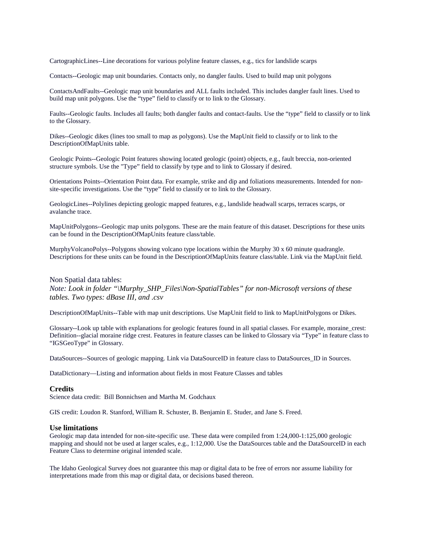CartographicLines--Line decorations for various polyline feature classes, e.g., tics for landslide scarps

Contacts--Geologic map unit boundaries. Contacts only, no dangler faults. Used to build map unit polygons

ContactsAndFaults--Geologic map unit boundaries and ALL faults included. This includes dangler fault lines. Used to build map unit polygons. Use the "type" field to classify or to link to the Glossary.

Faults--Geologic faults. Includes all faults; both dangler faults and contact-faults. Use the "type" field to classify or to link to the Glossary.

Dikes--Geologic dikes (lines too small to map as polygons). Use the MapUnit field to classify or to link to the DescriptionOfMapUnits table.

Geologic Points--Geologic Point features showing located geologic (point) objects, e.g., fault breccia, non-oriented structure symbols. Use the "Type" field to classify by type and to link to Glossary if desired.

Orientations Points--Orientation Point data. For example, strike and dip and foliations measurements. Intended for nonsite-specific investigations. Use the "type" field to classify or to link to the Glossary.

GeologicLines--Polylines depicting geologic mapped features, e.g., landslide headwall scarps, terraces scarps, or avalanche trace.

MapUnitPolygons--Geologic map units polygons. These are the main feature of this dataset. Descriptions for these units can be found in the DescriptionOfMapUnits feature class/table.

MurphyVolcanoPolys--Polygons showing volcano type locations within the Murphy 30 x 60 minute quadrangle. Descriptions for these units can be found in the DescriptionOfMapUnits feature class/table. Link via the MapUnit field.

## Non Spatial data tables:

*Note: Look in folder "\Murphy\_SHP\_Files\Non-SpatialTables" for non-Microsoft versions of these tables. Two types: dBase III, and .csv*

DescriptionOfMapUnits--Table with map unit descriptions. Use MapUnit field to link to MapUnitPolygons or Dikes.

Glossary--Look up table with explanations for geologic features found in all spatial classes. For example, moraine\_crest: Definition--glacial moraine ridge crest. Features in feature classes can be linked to Glossary via "Type" in feature class to "IGSGeoType" in Glossary.

DataSources--Sources of geologic mapping. Link via DataSourceID in feature class to DataSources\_ID in Sources.

DataDictionary—Listing and information about fields in most Feature Classes and tables

#### **Credits**

Science data credit: Bill Bonnichsen and Martha M. Godchaux

GIS credit: Loudon R. Stanford, William R. Schuster, B. Benjamin E. Studer, and Jane S. Freed.

# **Use limitations**

Geologic map data intended for non-site-specific use. These data were compiled from 1:24,000-1:125,000 geologic mapping and should not be used at larger scales, e.g., 1:12,000. Use the DataSources table and the DataSourceID in each Feature Class to determine original intended scale.

The Idaho Geological Survey does not guarantee this map or digital data to be free of errors nor assume liability for interpretations made from this map or digital data, or decisions based thereon.